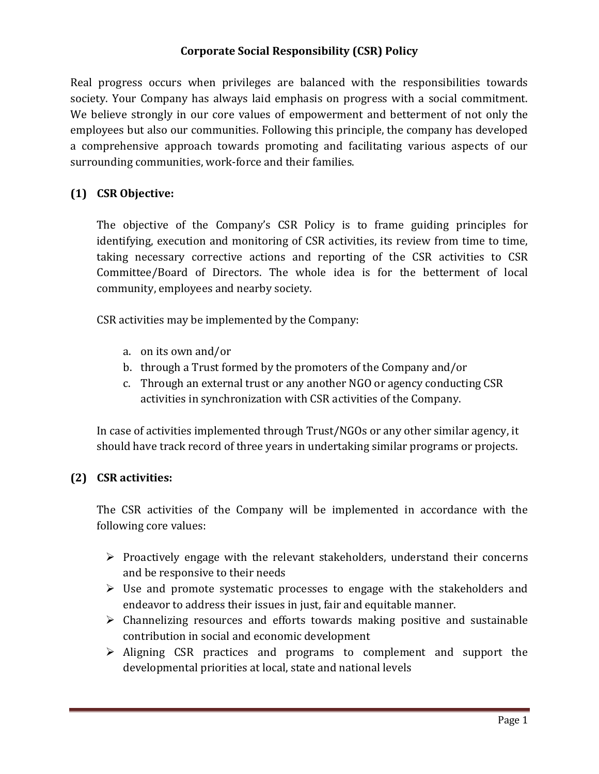# **Corporate Social Responsibility (CSR) Policy**

Real progress occurs when privileges are balanced with the responsibilities towards society. Your Company has always laid emphasis on progress with a social commitment. We believe strongly in our core values of empowerment and betterment of not only the employees but also our communities. Following this principle, the company has developed a comprehensive approach towards promoting and facilitating various aspects of our surrounding communities, work-force and their families.

### **(1) CSR Objective:**

The objective of the Company's CSR Policy is to frame guiding principles for identifying, execution and monitoring of CSR activities, its review from time to time, taking necessary corrective actions and reporting of the CSR activities to CSR Committee/Board of Directors. The whole idea is for the betterment of local community, employees and nearby society.

CSR activities may be implemented by the Company:

- a. on its own and/or
- b. through a Trust formed by the promoters of the Company and/or
- c. Through an external trust or any another NGO or agency conducting CSR activities in synchronization with CSR activities of the Company.

In case of activities implemented through Trust/NGOs or any other similar agency, it should have track record of three years in undertaking similar programs or projects.

# **(2) CSR activities:**

The CSR activities of the Company will be implemented in accordance with the following core values:

- $\triangleright$  Proactively engage with the relevant stakeholders, understand their concerns and be responsive to their needs
- $\triangleright$  Use and promote systematic processes to engage with the stakeholders and endeavor to address their issues in just, fair and equitable manner.
- $\triangleright$  Channelizing resources and efforts towards making positive and sustainable contribution in social and economic development
- $\triangleright$  Aligning CSR practices and programs to complement and support the developmental priorities at local, state and national levels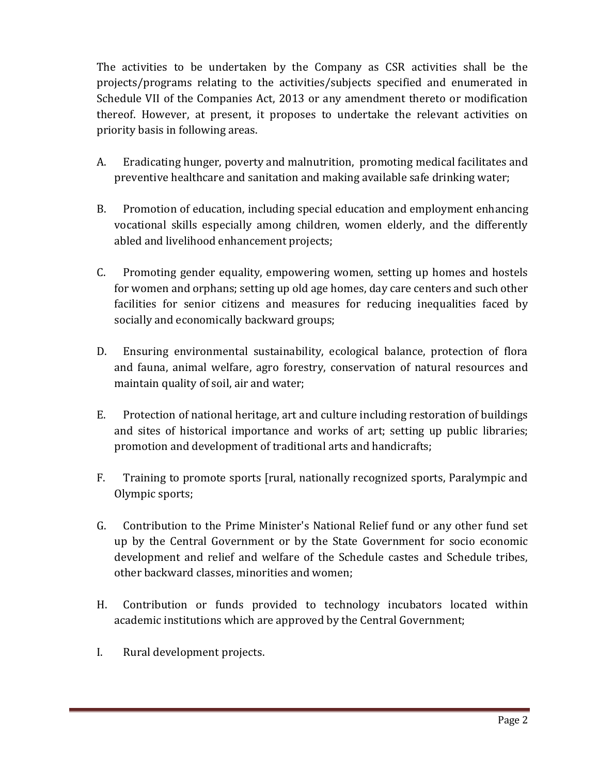The activities to be undertaken by the Company as CSR activities shall be the projects/programs relating to the activities/subjects specified and enumerated in Schedule VII of the Companies Act, 2013 or any amendment thereto or modification thereof. However, at present, it proposes to undertake the relevant activities on priority basis in following areas.

- A. Eradicating hunger, poverty and malnutrition, promoting medical facilitates and preventive healthcare and sanitation and making available safe drinking water;
- B. Promotion of education, including special education and employment enhancing vocational skills especially among children, women elderly, and the differently abled and livelihood enhancement projects;
- C. Promoting gender equality, empowering women, setting up homes and hostels for women and orphans; setting up old age homes, day care centers and such other facilities for senior citizens and measures for reducing inequalities faced by socially and economically backward groups;
- D. Ensuring environmental sustainability, ecological balance, protection of flora and fauna, animal welfare, agro forestry, conservation of natural resources and maintain quality of soil, air and water;
- E. Protection of national heritage, art and culture including restoration of buildings and sites of historical importance and works of art; setting up public libraries; promotion and development of traditional arts and handicrafts;
- F. Training to promote sports [rural, nationally recognized sports, Paralympic and Olympic sports;
- G. Contribution to the Prime Minister's National Relief fund or any other fund set up by the Central Government or by the State Government for socio economic development and relief and welfare of the Schedule castes and Schedule tribes, other backward classes, minorities and women;
- H. Contribution or funds provided to technology incubators located within academic institutions which are approved by the Central Government;
- I. Rural development projects.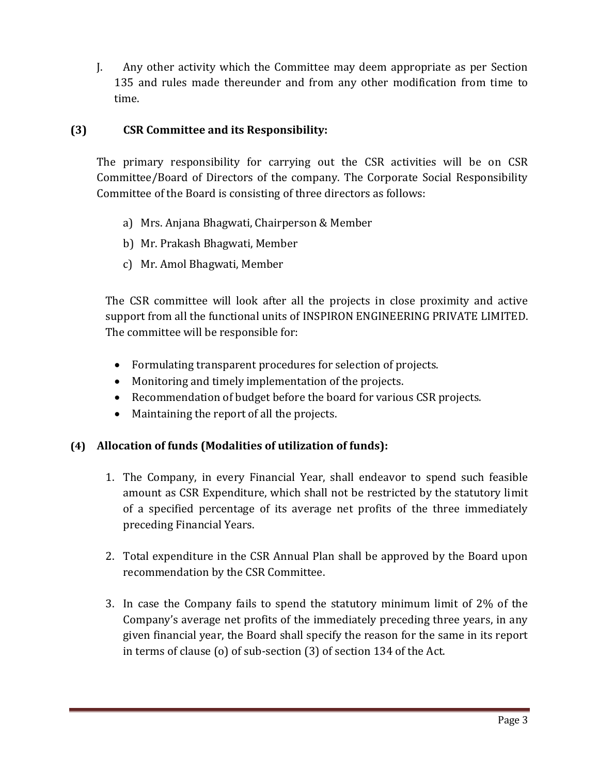J. Any other activity which the Committee may deem appropriate as per Section 135 and rules made thereunder and from any other modification from time to time.

### **(3) CSR Committee and its Responsibility:**

The primary responsibility for carrying out the CSR activities will be on CSR Committee/Board of Directors of the company. The Corporate Social Responsibility Committee of the Board is consisting of three directors as follows:

- a) Mrs. Anjana Bhagwati, Chairperson & Member
- b) Mr. Prakash Bhagwati, Member
- c) Mr. Amol Bhagwati, Member

The CSR committee will look after all the projects in close proximity and active support from all the functional units of INSPIRON ENGINEERING PRIVATE LIMITED. The committee will be responsible for:

- Formulating transparent procedures for selection of projects.
- Monitoring and timely implementation of the projects.
- Recommendation of budget before the board for various CSR projects.
- Maintaining the report of all the projects.

#### **(4) Allocation of funds (Modalities of utilization of funds):**

- 1. The Company, in every Financial Year, shall endeavor to spend such feasible amount as CSR Expenditure, which shall not be restricted by the statutory limit of a specified percentage of its average net profits of the three immediately preceding Financial Years.
- 2. Total expenditure in the CSR Annual Plan shall be approved by the Board upon recommendation by the CSR Committee.
- 3. In case the Company fails to spend the statutory minimum limit of 2% of the Company's average net profits of the immediately preceding three years, in any given financial year, the Board shall specify the reason for the same in its report in terms of clause (o) of sub-section (3) of section 134 of the Act.